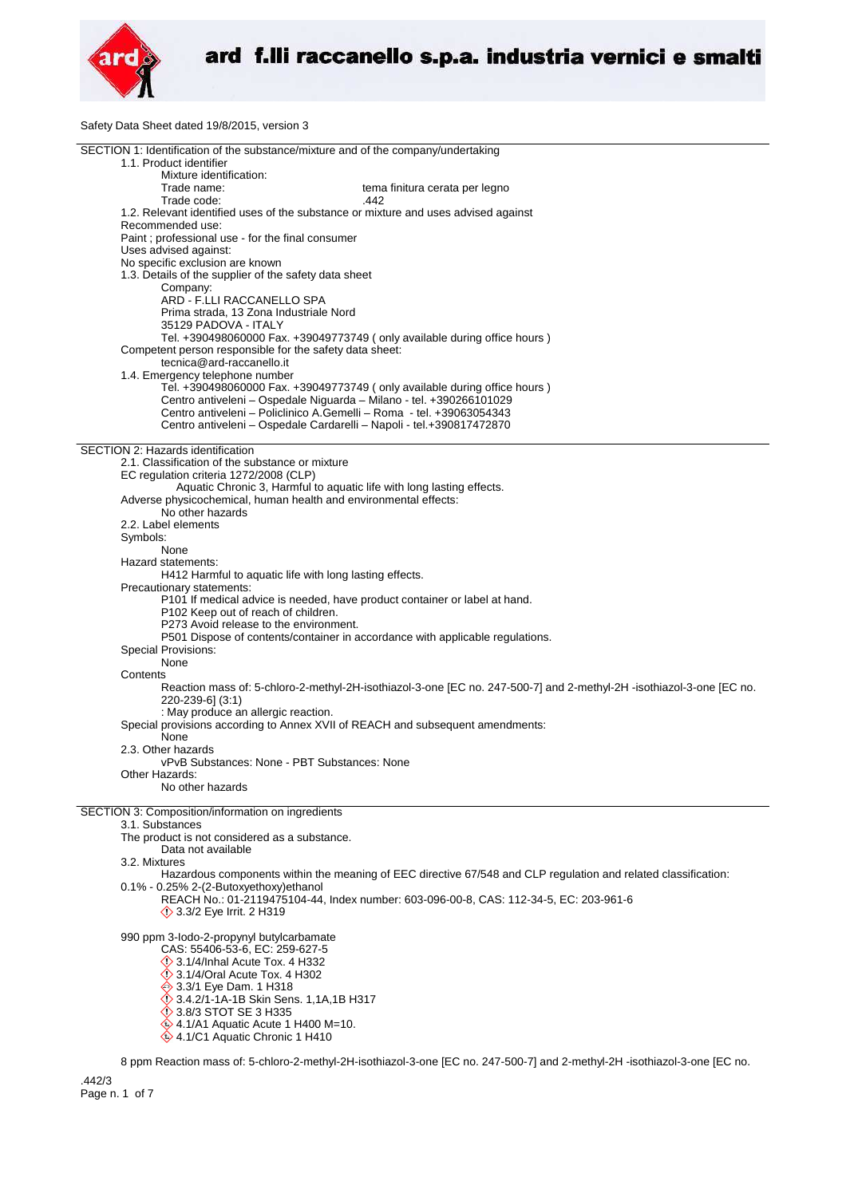

Safety Data Sheet dated 19/8/2015, version 3

| SECTION 1: Identification of the substance/mixture and of the company/undertaking                                                                |
|--------------------------------------------------------------------------------------------------------------------------------------------------|
| 1.1. Product identifier<br>Mixture identification:                                                                                               |
| Trade name:<br>tema finitura cerata per legno                                                                                                    |
| Trade code:<br>.442                                                                                                                              |
| 1.2. Relevant identified uses of the substance or mixture and uses advised against                                                               |
| Recommended use:                                                                                                                                 |
| Paint ; professional use - for the final consumer<br>Uses advised against:                                                                       |
| No specific exclusion are known                                                                                                                  |
| 1.3. Details of the supplier of the safety data sheet                                                                                            |
| Company:                                                                                                                                         |
| ARD - F.LLI RACCANELLO SPA                                                                                                                       |
| Prima strada, 13 Zona Industriale Nord<br>35129 PADOVA - ITALY                                                                                   |
| Tel. +390498060000 Fax. +39049773749 (only available during office hours)                                                                        |
| Competent person responsible for the safety data sheet:                                                                                          |
| tecnica@ard-raccanello.it                                                                                                                        |
| 1.4. Emergency telephone number                                                                                                                  |
| Tel. +390498060000 Fax. +39049773749 (only available during office hours)<br>Centro antiveleni - Ospedale Niguarda - Milano - tel. +390266101029 |
| Centro antiveleni - Policlinico A.Gemelli - Roma - tel. +39063054343                                                                             |
| Centro antiveleni – Ospedale Cardarelli – Napoli - tel.+390817472870                                                                             |
|                                                                                                                                                  |
| SECTION 2: Hazards identification<br>2.1. Classification of the substance or mixture                                                             |
| EC regulation criteria 1272/2008 (CLP)                                                                                                           |
| Aquatic Chronic 3, Harmful to aquatic life with long lasting effects.                                                                            |
| Adverse physicochemical, human health and environmental effects:                                                                                 |
| No other hazards                                                                                                                                 |
| 2.2. Label elements                                                                                                                              |
| Symbols:<br>None                                                                                                                                 |
| Hazard statements:                                                                                                                               |
| H412 Harmful to aquatic life with long lasting effects.                                                                                          |
| Precautionary statements:                                                                                                                        |
| P101 If medical advice is needed, have product container or label at hand.<br>P102 Keep out of reach of children.                                |
| P273 Avoid release to the environment.                                                                                                           |
| P501 Dispose of contents/container in accordance with applicable regulations.                                                                    |
| Special Provisions:                                                                                                                              |
| None                                                                                                                                             |
| Contents<br>Reaction mass of: 5-chloro-2-methyl-2H-isothiazol-3-one [EC no. 247-500-7] and 2-methyl-2H -isothiazol-3-one [EC no.                 |
| 220-239-6] (3:1)                                                                                                                                 |
| : May produce an allergic reaction.                                                                                                              |
| Special provisions according to Annex XVII of REACH and subsequent amendments:                                                                   |
| None                                                                                                                                             |
| 2.3. Other hazards<br>vPvB Substances: None - PBT Substances: None                                                                               |
| Other Hazards:                                                                                                                                   |
| No other hazards                                                                                                                                 |
|                                                                                                                                                  |
| SECTION 3: Composition/information on ingredients<br>3.1. Substances                                                                             |
| The product is not considered as a substance.                                                                                                    |
| Data not available                                                                                                                               |
| 3.2. Mixtures                                                                                                                                    |
| Hazardous components within the meaning of EEC directive 67/548 and CLP regulation and related classification:                                   |
| 0.1% - 0.25% 2-(2-Butoxyethoxy)ethanol<br>REACH No.: 01-2119475104-44, Index number: 603-096-00-8, CAS: 112-34-5, EC: 203-961-6                  |
| <b>◯ 3.3/2 Eye Irrit. 2 H319</b>                                                                                                                 |
|                                                                                                                                                  |
| 990 ppm 3-lodo-2-propynyl butylcarbamate                                                                                                         |
| CAS: 55406-53-6, EC: 259-627-5<br>$\Diamond$ 3.1/4/Inhal Acute Tox. 4 H332                                                                       |
| $\Diamond$ 3.1/4/Oral Acute Tox. 4 H302                                                                                                          |
| → 3.3/1 Eye Dam. 1 H318                                                                                                                          |
| 3.4.2/1-1A-1B Skin Sens. 1,1A,1B H317                                                                                                            |
| <b>12 3.8/3 STOT SE 3 H335</b>                                                                                                                   |
| $\textcircled{4.1/A1}$ Aquatic Acute 1 H400 M=10.<br>4.1/C1 Aquatic Chronic 1 H410                                                               |
|                                                                                                                                                  |
| 8 npm Peaction mass of 5-chloro-2-methyl-2H-isothiazol-3-one IEC no. 247-500-71 and 2-methyl-2H-isothiazol-3-one IEC no                          |

8 ppm Reaction mass of: 5-chloro-2-methyl-2H-isothiazol-3-one [EC no. 247-500-7] and 2-methyl-2H -isothiazol-3-one [EC no.

.442/3 Page n. 1 of 7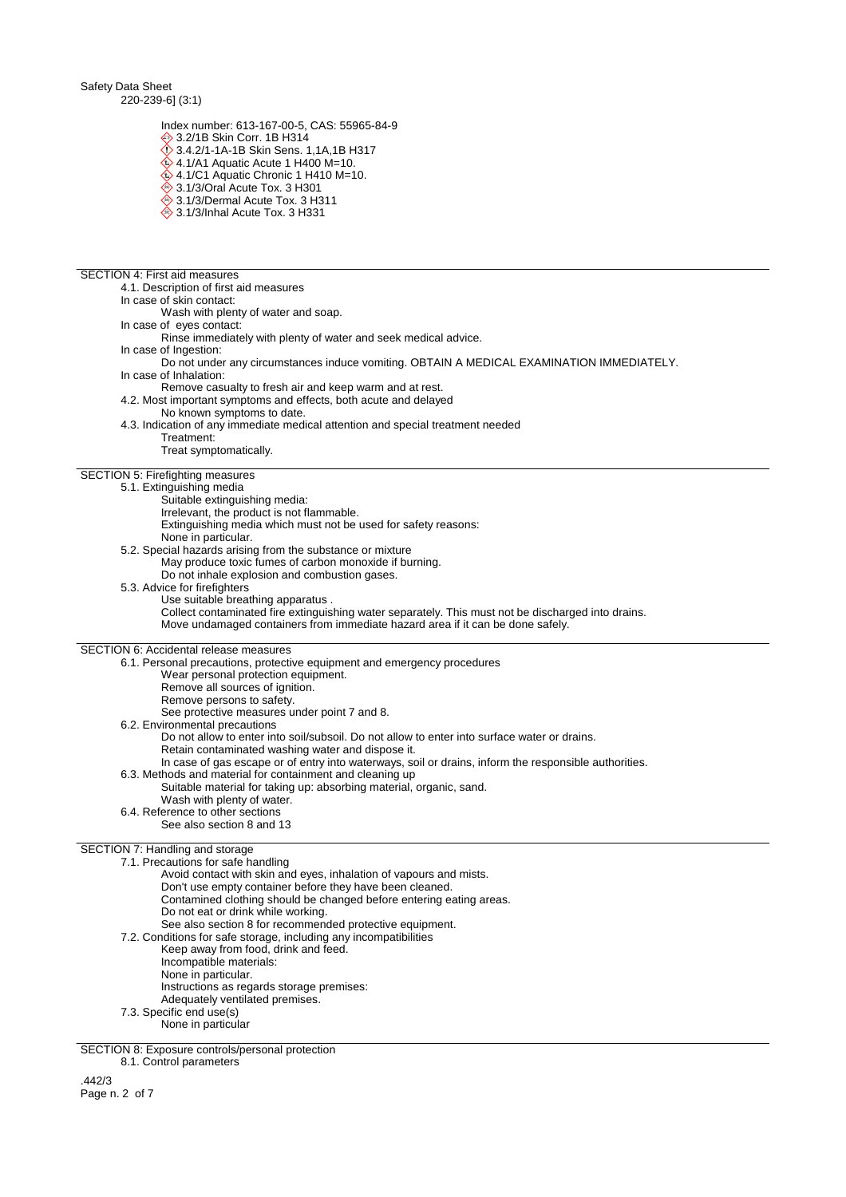Safety Data Sheet 220-239-6] (3:1)

Index number: 613-167-00-5, CAS: 55965-84-9

3.2/1B Skin Corr. 1B H314

- 3.4.2/1-1A-1B Skin Sens. 1,1A,1B H317
- $\hat{\textbf{Q}}$  4.1/A1 Aquatic Acute 1 H400 M=10.
- $\ddot{\diamond}$  4.1/C1 Aquatic Chronic 1 H410 M=10. **♦ 3.1/3/Oral Acute Tox. 3 H301**
- $\stackrel{\triangle}{\Leftrightarrow}$  3.1/3/Dermal Acute Tox. 3 H311
- $\overset{\triangle}{\diamond}$  3.1/3/Inhal Acute Tox. 3 H331

#### SECTION 4: First aid measures

4.1. Description of first aid measures

- In case of skin contact:
	- Wash with plenty of water and soap.
- In case of eyes contact: Rinse immediately with plenty of water and seek medical advice.
- In case of Ingestion:
	- Do not under any circumstances induce vomiting. OBTAIN A MEDICAL EXAMINATION IMMEDIATELY.
- In case of Inhalation: Remove casualty to fresh air and keep warm and at rest.
- 4.2. Most important symptoms and effects, both acute and delayed
	- No known symptoms to date.
- 4.3. Indication of any immediate medical attention and special treatment needed
	- Treatment:
	- Treat symptomatically.

# SECTION 5: Firefighting measures

- 5.1. Extinguishing media
	- Suitable extinguishing media:
	- Irrelevant, the product is not flammable.
	- Extinguishing media which must not be used for safety reasons: None in particular.
	- 5.2. Special hazards arising from the substance or mixture
	- May produce toxic fumes of carbon monoxide if burning.
	- Do not inhale explosion and combustion gases.
	- 5.3. Advice for firefighters
		- Use suitable breathing apparatus . Collect contaminated fire extinguishing water separately. This must not be discharged into drains. Move undamaged containers from immediate hazard area if it can be done safely.

### SECTION 6: Accidental release measures

6.1. Personal precautions, protective equipment and emergency procedures

- Wear personal protection equipment.
- Remove all sources of ignition.
- Remove persons to safety.
	- See protective measures under point 7 and 8.
- 6.2. Environmental precautions

Do not allow to enter into soil/subsoil. Do not allow to enter into surface water or drains.

- Retain contaminated washing water and dispose it.
	- In case of gas escape or of entry into waterways, soil or drains, inform the responsible authorities.
- 6.3. Methods and material for containment and cleaning up Suitable material for taking up: absorbing material, organic, sand.
- Wash with plenty of water.
- 6.4. Reference to other sections
	- See also section 8 and 13

#### SECTION 7: Handling and storage

- 7.1. Precautions for safe handling
	- Avoid contact with skin and eyes, inhalation of vapours and mists.
	- Don't use empty container before they have been cleaned.
	- Contamined clothing should be changed before entering eating areas.
		- Do not eat or drink while working.

See also section 8 for recommended protective equipment.

- 7.2. Conditions for safe storage, including any incompatibilities
	- Keep away from food, drink and feed. Incompatible materials:
	-
	- None in particular.
	- Instructions as regards storage premises:
	- Adequately ventilated premises.
- 7.3. Specific end use(s)
	- None in particular

SECTION 8: Exposure controls/personal protection

8.1. Control parameters

.442/3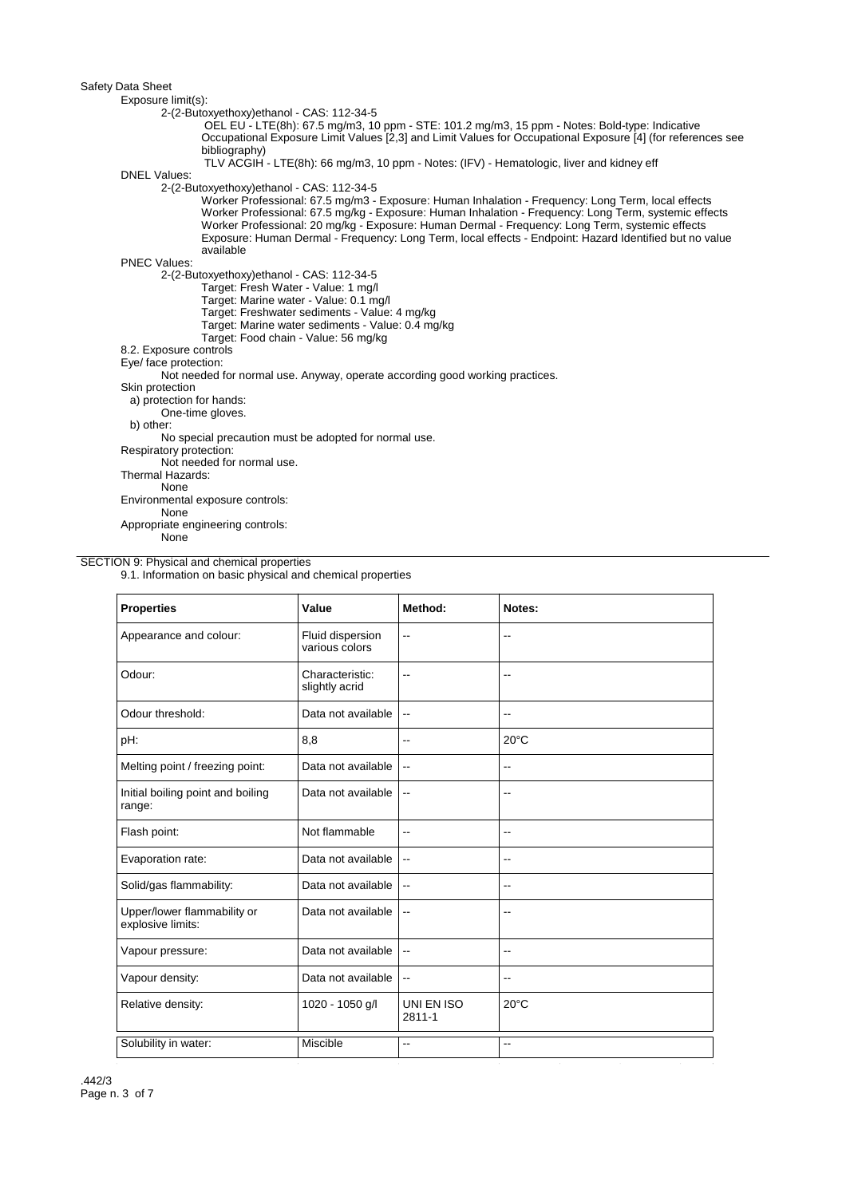| Exposure limit(s):       |                                                                                                                                                                                                                                                                                                                                                                                                                                        |
|--------------------------|----------------------------------------------------------------------------------------------------------------------------------------------------------------------------------------------------------------------------------------------------------------------------------------------------------------------------------------------------------------------------------------------------------------------------------------|
|                          | 2-(2-Butoxyethoxy)ethanol - CAS: 112-34-5                                                                                                                                                                                                                                                                                                                                                                                              |
|                          | OEL EU - LTE(8h): 67.5 mg/m3, 10 ppm - STE: 101.2 mg/m3, 15 ppm - Notes: Bold-type: Indicative                                                                                                                                                                                                                                                                                                                                         |
|                          | Occupational Exposure Limit Values [2,3] and Limit Values for Occupational Exposure [4] (for references see                                                                                                                                                                                                                                                                                                                            |
|                          | bibliography)                                                                                                                                                                                                                                                                                                                                                                                                                          |
|                          | TLV ACGIH - LTE(8h): 66 mg/m3, 10 ppm - Notes: (IFV) - Hematologic, liver and kidney eff                                                                                                                                                                                                                                                                                                                                               |
| <b>DNEL Values:</b>      |                                                                                                                                                                                                                                                                                                                                                                                                                                        |
|                          | 2-(2-Butoxyethoxy)ethanol - CAS: 112-34-5                                                                                                                                                                                                                                                                                                                                                                                              |
|                          | Worker Professional: 67.5 mg/m3 - Exposure: Human Inhalation - Frequency: Long Term, local effects<br>Worker Professional: 67.5 mg/kg - Exposure: Human Inhalation - Frequency: Long Term, systemic effects<br>Worker Professional: 20 mg/kg - Exposure: Human Dermal - Frequency: Long Term, systemic effects<br>Exposure: Human Dermal - Frequency: Long Term, local effects - Endpoint: Hazard Identified but no value<br>available |
| <b>PNEC Values:</b>      |                                                                                                                                                                                                                                                                                                                                                                                                                                        |
|                          | 2-(2-Butoxyethoxy)ethanol - CAS: 112-34-5                                                                                                                                                                                                                                                                                                                                                                                              |
|                          | Target: Fresh Water - Value: 1 mg/l                                                                                                                                                                                                                                                                                                                                                                                                    |
|                          | Target: Marine water - Value: 0.1 mg/l                                                                                                                                                                                                                                                                                                                                                                                                 |
|                          | Target: Freshwater sediments - Value: 4 mg/kg                                                                                                                                                                                                                                                                                                                                                                                          |
|                          | Target: Marine water sediments - Value: 0.4 mg/kg                                                                                                                                                                                                                                                                                                                                                                                      |
|                          | Target: Food chain - Value: 56 mg/kg                                                                                                                                                                                                                                                                                                                                                                                                   |
| 8.2. Exposure controls   |                                                                                                                                                                                                                                                                                                                                                                                                                                        |
| Eye/ face protection:    |                                                                                                                                                                                                                                                                                                                                                                                                                                        |
|                          | Not needed for normal use. Anyway, operate according good working practices.                                                                                                                                                                                                                                                                                                                                                           |
| Skin protection          |                                                                                                                                                                                                                                                                                                                                                                                                                                        |
| a) protection for hands: |                                                                                                                                                                                                                                                                                                                                                                                                                                        |
|                          | One-time gloves.                                                                                                                                                                                                                                                                                                                                                                                                                       |
| b) other:                |                                                                                                                                                                                                                                                                                                                                                                                                                                        |
|                          | No special precaution must be adopted for normal use.                                                                                                                                                                                                                                                                                                                                                                                  |
| Respiratory protection:  |                                                                                                                                                                                                                                                                                                                                                                                                                                        |
|                          | Not needed for normal use.                                                                                                                                                                                                                                                                                                                                                                                                             |
| Thermal Hazards:         |                                                                                                                                                                                                                                                                                                                                                                                                                                        |
| None                     |                                                                                                                                                                                                                                                                                                                                                                                                                                        |
|                          | Environmental exposure controls:                                                                                                                                                                                                                                                                                                                                                                                                       |
| None                     |                                                                                                                                                                                                                                                                                                                                                                                                                                        |
|                          | Appropriate engineering controls:                                                                                                                                                                                                                                                                                                                                                                                                      |
| None                     |                                                                                                                                                                                                                                                                                                                                                                                                                                        |

## SECTION 9: Physical and chemical properties

9.1. Information on basic physical and chemical properties

| <b>Properties</b>                                | Value                              | Method:                  | Notes:                   |
|--------------------------------------------------|------------------------------------|--------------------------|--------------------------|
| Appearance and colour:                           | Fluid dispersion<br>various colors | $\overline{a}$           | $\overline{\phantom{a}}$ |
| Odour:                                           | Characteristic:<br>slightly acrid  | $\overline{a}$           | $-$                      |
| Odour threshold:                                 | Data not available                 | $\sim$ $\sim$            | $\overline{\phantom{a}}$ |
| pH:                                              | 8,8                                | $\overline{\phantom{a}}$ | $20^{\circ}$ C           |
| Melting point / freezing point:                  | Data not available                 | $\overline{\phantom{a}}$ | $-$                      |
| Initial boiling point and boiling<br>range:      | Data not available                 | $\overline{\phantom{a}}$ | $\overline{\phantom{a}}$ |
| Flash point:                                     | Not flammable                      | $\overline{a}$           | $\overline{\phantom{a}}$ |
| Evaporation rate:                                | Data not available                 | $\overline{a}$           | $\overline{a}$           |
| Solid/gas flammability:                          | Data not available                 | $\sim$ $\sim$            | --                       |
| Upper/lower flammability or<br>explosive limits: | Data not available                 | $\overline{\phantom{a}}$ | --                       |
| Vapour pressure:                                 | Data not available                 | $\overline{\phantom{a}}$ | $-$                      |
| Vapour density:                                  | Data not available                 | $\overline{\phantom{a}}$ | $\overline{\phantom{a}}$ |
| Relative density:                                | 1020 - 1050 g/l                    | UNI EN ISO<br>2811-1     | $20^{\circ}$ C           |
| Solubility in water:                             | <b>Miscible</b>                    | $-$                      | $\overline{a}$           |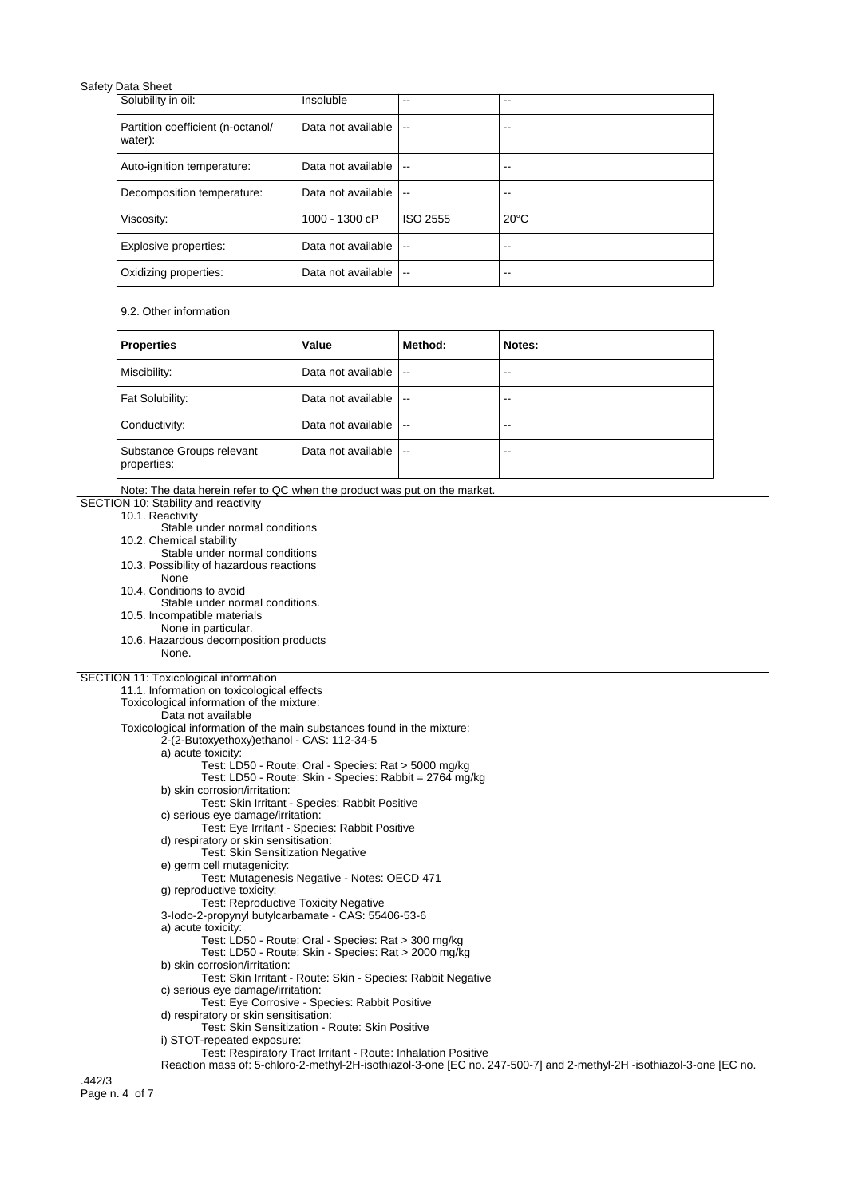| Solubility in oil:                           | Insoluble          | --                       | --             |
|----------------------------------------------|--------------------|--------------------------|----------------|
| Partition coefficient (n-octanol/<br>water): | Data not available | $\overline{\phantom{a}}$ |                |
| Auto-ignition temperature:                   | Data not available | $\sim$                   | --             |
| Decomposition temperature:                   | Data not available | $\overline{\phantom{a}}$ | --             |
| Viscosity:                                   | 1000 - 1300 cP     | ISO 2555                 | $20^{\circ}$ C |
| Explosive properties:                        | Data not available | $\overline{a}$           | --             |
| Oxidizing properties:                        | Data not available | $\overline{\phantom{a}}$ | --             |

# 9.2. Other information

| <b>Properties</b>                        | Value              | Method:        | Notes: |
|------------------------------------------|--------------------|----------------|--------|
| Miscibility:                             | Data not available | $\sim$ $\sim$  | $-$    |
| Fat Solubility:                          | Data not available | $-$            | $- -$  |
| Conductivity:                            | Data not available | $\overline{a}$ | $-$    |
| Substance Groups relevant<br>properties: | Data not available | $\sim$         | $- -$  |

| Note: The data herein refer to QC when the product was put on the market.                                           |
|---------------------------------------------------------------------------------------------------------------------|
| SECTION 10: Stability and reactivity                                                                                |
| 10.1. Reactivity                                                                                                    |
| Stable under normal conditions                                                                                      |
| 10.2. Chemical stability                                                                                            |
| Stable under normal conditions                                                                                      |
| 10.3. Possibility of hazardous reactions                                                                            |
| None                                                                                                                |
| 10.4. Conditions to avoid                                                                                           |
| Stable under normal conditions.                                                                                     |
| 10.5. Incompatible materials                                                                                        |
| None in particular.                                                                                                 |
| 10.6. Hazardous decomposition products                                                                              |
| None.                                                                                                               |
|                                                                                                                     |
| SECTION 11: Toxicological information                                                                               |
| 11.1. Information on toxicological effects                                                                          |
| Toxicological information of the mixture:                                                                           |
| Data not available                                                                                                  |
| Toxicological information of the main substances found in the mixture:                                              |
| 2-(2-Butoxyethoxy)ethanol - CAS: 112-34-5                                                                           |
| a) acute toxicity:                                                                                                  |
| Test: LD50 - Route: Oral - Species: Rat > 5000 mg/kg                                                                |
| Test: LD50 - Route: Skin - Species: Rabbit = 2764 mg/kg                                                             |
| b) skin corrosion/irritation:                                                                                       |
| Test: Skin Irritant - Species: Rabbit Positive                                                                      |
| c) serious eye damage/irritation:                                                                                   |
| Test: Eye Irritant - Species: Rabbit Positive                                                                       |
| d) respiratory or skin sensitisation:                                                                               |
| <b>Test: Skin Sensitization Negative</b>                                                                            |
| e) germ cell mutagenicity:                                                                                          |
| Test: Mutagenesis Negative - Notes: OECD 471                                                                        |
| g) reproductive toxicity:                                                                                           |
| <b>Test: Reproductive Toxicity Negative</b>                                                                         |
| 3-lodo-2-propynyl butylcarbamate - CAS: 55406-53-6                                                                  |
| a) acute toxicity:                                                                                                  |
| Test: LD50 - Route: Oral - Species: Rat > 300 mg/kg                                                                 |
| Test: LD50 - Route: Skin - Species: Rat > 2000 mg/kg                                                                |
| b) skin corrosion/irritation:                                                                                       |
| Test: Skin Irritant - Route: Skin - Species: Rabbit Negative                                                        |
| c) serious eye damage/irritation:                                                                                   |
| Test: Eye Corrosive - Species: Rabbit Positive                                                                      |
| d) respiratory or skin sensitisation:                                                                               |
| Test: Skin Sensitization - Route: Skin Positive                                                                     |
| i) STOT-repeated exposure:                                                                                          |
| Test: Respiratory Tract Irritant - Route: Inhalation Positive                                                       |
| Reaction mass of: 5-chloro-2-methyl-2H-isothiazol-3-one [EC no. 247-500-7] and 2-methyl-2H-isothiazol-3-one [EC no. |
| .442/3                                                                                                              |
| Page n. 4 of 7                                                                                                      |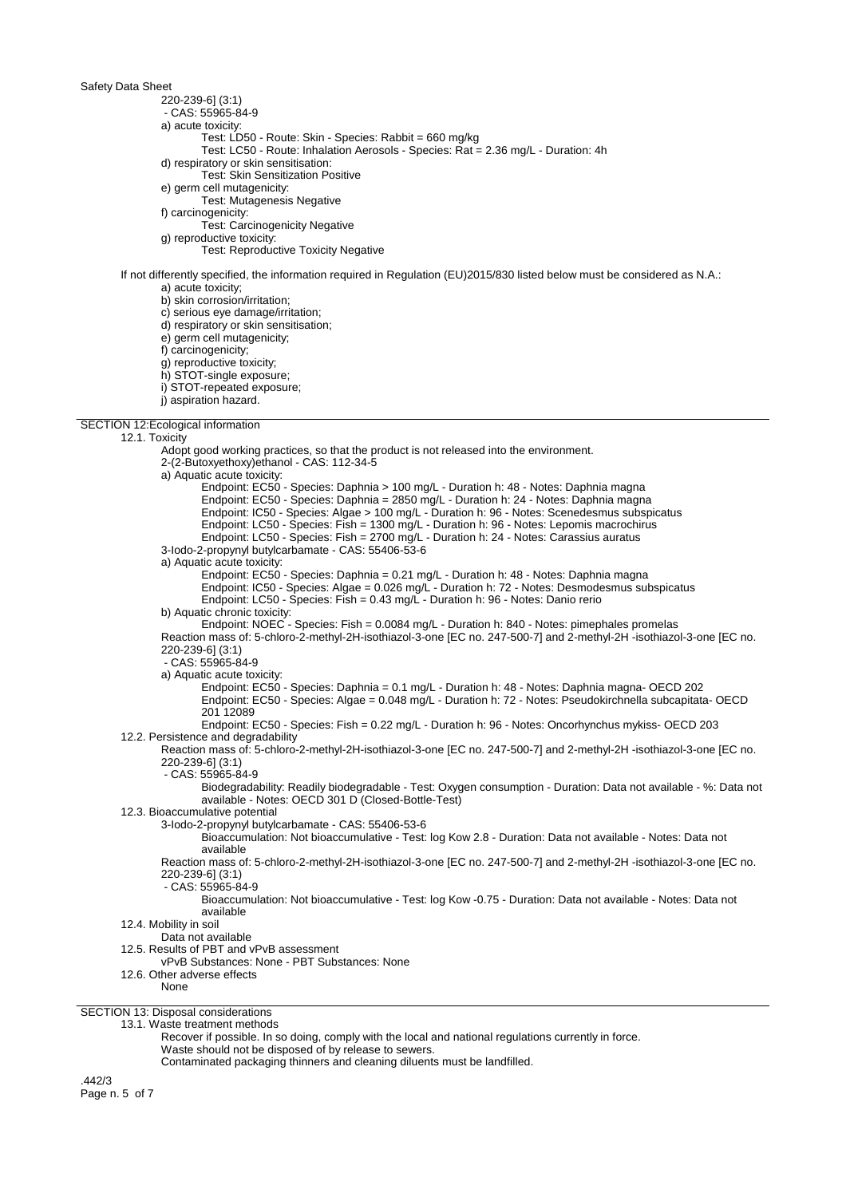220-239-6] (3:1)

- CAS: 55965-84-9

a) acute toxicity:

- Test: LD50 Route: Skin Species: Rabbit = 660 mg/kg
- Test: LC50 Route: Inhalation Aerosols Species: Rat = 2.36 mg/L Duration: 4h

d) respiratory or skin sensitisation:

- Test: Skin Sensitization Positive
- e) germ cell mutagenicity:

Test: Mutagenesis Negative

f) carcinogenicity:

Test: Carcinogenicity Negative

g) reproductive toxicity:

Test: Reproductive Toxicity Negative

If not differently specified, the information required in Regulation (EU)2015/830 listed below must be considered as N.A.: a) acute toxicity;

b) skin corrosion/irritation;

c) serious eye damage/irritation;

d) respiratory or skin sensitisation;

e) germ cell mutagenicity;

f) carcinogenicity;

g) reproductive toxicity;

h) STOT-single exposure; i) STOT-repeated exposure;

j) aspiration hazard.

SECTION 12:Ecological information

### 12.1. Toxicity

Adopt good working practices, so that the product is not released into the environment.

2-(2-Butoxyethoxy)ethanol - CAS: 112-34-5

a) Aquatic acute toxicity:

Endpoint: EC50 - Species: Daphnia > 100 mg/L - Duration h: 48 - Notes: Daphnia magna Endpoint: EC50 - Species: Daphnia = 2850 mg/L - Duration h: 24 - Notes: Daphnia magna Endpoint: IC50 - Species: Algae > 100 mg/L - Duration h: 96 - Notes: Scenedesmus subspicatus Endpoint: LC50 - Species: Fish = 1300 mg/L - Duration h: 96 - Notes: Lepomis macrochirus Endpoint: LC50 - Species: Fish = 2700 mg/L - Duration h: 24 - Notes: Carassius auratus 3-Iodo-2-propynyl butylcarbamate - CAS: 55406-53-6 a) Aquatic acute toxicity: Endpoint: EC50 - Species: Daphnia = 0.21 mg/L - Duration h: 48 - Notes: Daphnia magna Endpoint: IC50 - Species: Algae = 0.026 mg/L - Duration h: 72 - Notes: Desmodesmus subspicatus Endpoint: LC50 - Species: Fish = 0.43 mg/L - Duration h: 96 - Notes: Danio rerio b) Aquatic chronic toxicity: Endpoint: NOEC - Species: Fish = 0.0084 mg/L - Duration h: 840 - Notes: pimephales promelas Reaction mass of: 5-chloro-2-methyl-2H-isothiazol-3-one [EC no. 247-500-7] and 2-methyl-2H -isothiazol-3-one [EC no. 220-239-6] (3:1) - CAS: 55965-84-9 a) Aquatic acute toxicity: Endpoint: EC50 - Species: Daphnia = 0.1 mg/L - Duration h: 48 - Notes: Daphnia magna- OECD 202 Endpoint: EC50 - Species: Algae = 0.048 mg/L - Duration h: 72 - Notes: Pseudokirchnella subcapitata- OECD 201 12089 Endpoint: EC50 - Species: Fish = 0.22 mg/L - Duration h: 96 - Notes: Oncorhynchus mykiss- OECD 203 12.2. Persistence and degradability Reaction mass of: 5-chloro-2-methyl-2H-isothiazol-3-one [EC no. 247-500-7] and 2-methyl-2H -isothiazol-3-one [EC no. 220-239-6] (3:1) - CAS: 55965-84-9 Biodegradability: Readily biodegradable - Test: Oxygen consumption - Duration: Data not available - %: Data not available - Notes: OECD 301 D (Closed-Bottle-Test) 12.3. Bioaccumulative potential 3-Iodo-2-propynyl butylcarbamate - CAS: 55406-53-6 Bioaccumulation: Not bioaccumulative - Test: log Kow 2.8 - Duration: Data not available - Notes: Data not available Reaction mass of: 5-chloro-2-methyl-2H-isothiazol-3-one [EC no. 247-500-7] and 2-methyl-2H -isothiazol-3-one [EC no. 220-239-6] (3:1)

- CAS: 55965-84-9

Bioaccumulation: Not bioaccumulative - Test: log Kow -0.75 - Duration: Data not available - Notes: Data not available

12.4. Mobility in soil

Data not available

12.5. Results of PBT and vPvB assessment

vPvB Substances: None - PBT Substances: None

12.6. Other adverse effects

None

SECTION 13: Disposal considerations

13.1. Waste treatment methods

Recover if possible. In so doing, comply with the local and national regulations currently in force.

Waste should not be disposed of by release to sewers.

Contaminated packaging thinners and cleaning diluents must be landfilled.

.442/3 Page n. 5 of 7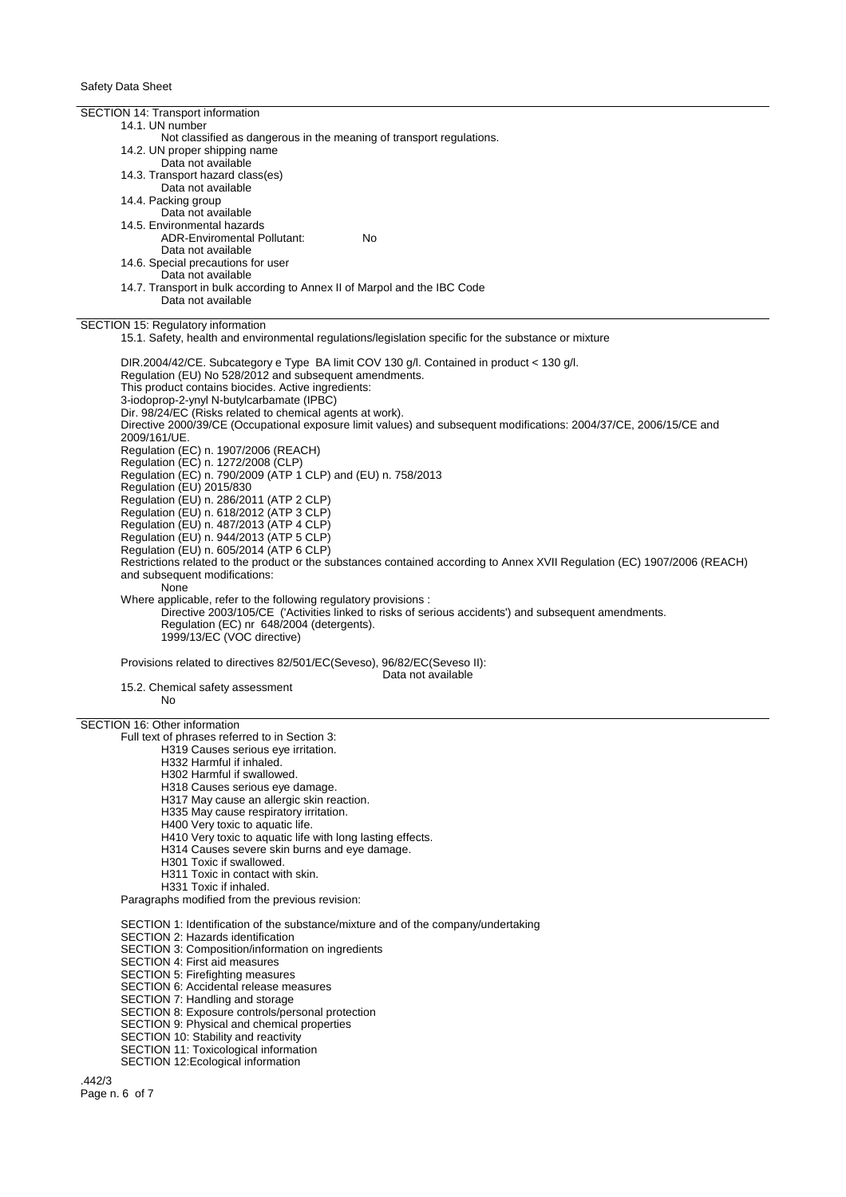SECTION 14: Transport information 14.1. UN number Not classified as dangerous in the meaning of transport regulations. 14.2. UN proper shipping name Data not available 14.3. Transport hazard class(es) Data not available 14.4. Packing group Data not available 14.5. Environmental hazards ADR-Enviromental Pollutant: No Data not available 14.6. Special precautions for user Data not available 14.7. Transport in bulk according to Annex II of Marpol and the IBC Code Data not available SECTION 15: Regulatory information 15.1. Safety, health and environmental regulations/legislation specific for the substance or mixture DIR.2004/42/CE. Subcategory e Type BA limit COV 130 g/l. Contained in product < 130 g/l. Regulation (EU) No 528/2012 and subsequent amendments. This product contains biocides. Active ingredients: 3-iodoprop-2-ynyl N-butylcarbamate (IPBC) Dir. 98/24/EC (Risks related to chemical agents at work). Directive 2000/39/CE (Occupational exposure limit values) and subsequent modifications: 2004/37/CE, 2006/15/CE and 2009/161/UE. Regulation (EC) n. 1907/2006 (REACH) Regulation (EC) n. 1272/2008 (CLP) Regulation (EC) n. 790/2009 (ATP 1 CLP) and (EU) n. 758/2013 Regulation (EU) 2015/830 Regulation (EU) n. 286/2011 (ATP 2 CLP) Regulation (EU) n. 618/2012 (ATP 3 CLP) Regulation (EU) n. 487/2013 (ATP 4 CLP) Regulation (EU) n. 944/2013 (ATP 5 CLP) Regulation (EU) n. 605/2014 (ATP 6 CLP) Restrictions related to the product or the substances contained according to Annex XVII Regulation (EC) 1907/2006 (REACH) and subsequent modifications: None Where applicable, refer to the following regulatory provisions : Directive 2003/105/CE ('Activities linked to risks of serious accidents') and subsequent amendments. Regulation (EC) nr 648/2004 (detergents). 1999/13/EC (VOC directive) Provisions related to directives 82/501/EC(Seveso), 96/82/EC(Seveso II): Data not available 15.2. Chemical safety assessment No SECTION 16: Other information Full text of phrases referred to in Section 3: H319 Causes serious eye irritation. H332 Harmful if inhaled. H302 Harmful if swallowed. H318 Causes serious eye damage. H317 May cause an allergic skin reaction. H335 May cause respiratory irritation. H400 Very toxic to aquatic life. H410 Very toxic to aquatic life with long lasting effects. H314 Causes severe skin burns and eye damage. H301 Toxic if swallowed. H311 Toxic in contact with skin. H331 Toxic if inhaled. Paragraphs modified from the previous revision: SECTION 1: Identification of the substance/mixture and of the company/undertaking SECTION 2: Hazards identification SECTION 3: Composition/information on ingredients SECTION 4: First aid measures SECTION 5: Firefighting measures SECTION 6: Accidental release measures SECTION 7: Handling and storage SECTION 8: Exposure controls/personal protection SECTION 9: Physical and chemical properties

- SECTION 10: Stability and reactivity
- SECTION 11: Toxicological information
- SECTION 12:Ecological information

.442/3 Page n. 6 of 7